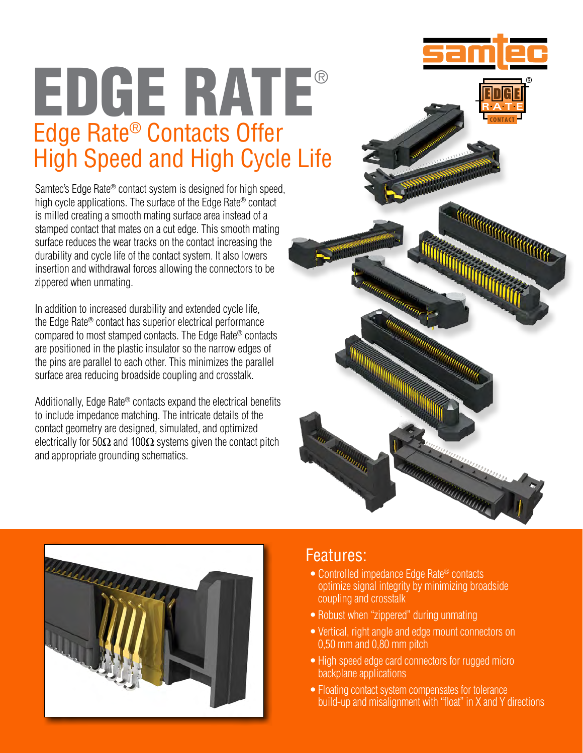# EDGE RATE® Edge Rate® Contacts Offer High Speed and High Cycle Life

Samtec's Edge Rate<sup>®</sup> contact system is designed for high speed. high cycle applications. The surface of the Edge Rate® contact is milled creating a smooth mating surface area instead of a stamped contact that mates on a cut edge. This smooth mating surface reduces the wear tracks on the contact increasing the durability and cycle life of the contact system. It also lowers insertion and withdrawal forces allowing the connectors to be zippered when unmating.

In addition to increased durability and extended cycle life, the Edge Rate® contact has superior electrical performance compared to most stamped contacts. The Edge Rate® contacts are positioned in the plastic insulator so the narrow edges of the pins are parallel to each other. This minimizes the parallel surface area reducing broadside coupling and crosstalk.

Additionally, Edge Rate® contacts expand the electrical benefits to include impedance matching. The intricate details of the contact geometry are designed, simulated, and optimized electrically for 50 $\Omega$  and 100 $\Omega$  systems given the contact pitch and appropriate grounding schematics.





## Features:

j

- Controlled impedance Edge Rate<sup>®</sup> contacts optimize signal integrity by minimizing broadside coupling and crosstalk
- Robust when "zippered" during unmating
- Vertical, right angle and edge mount connectors on 0,50 mm and 0,80 mm pitch
- High speed edge card connectors for rugged micro backplane applications
- Floating contact system compensates for tolerance build-up and misalignment with "float" in X and Y directions